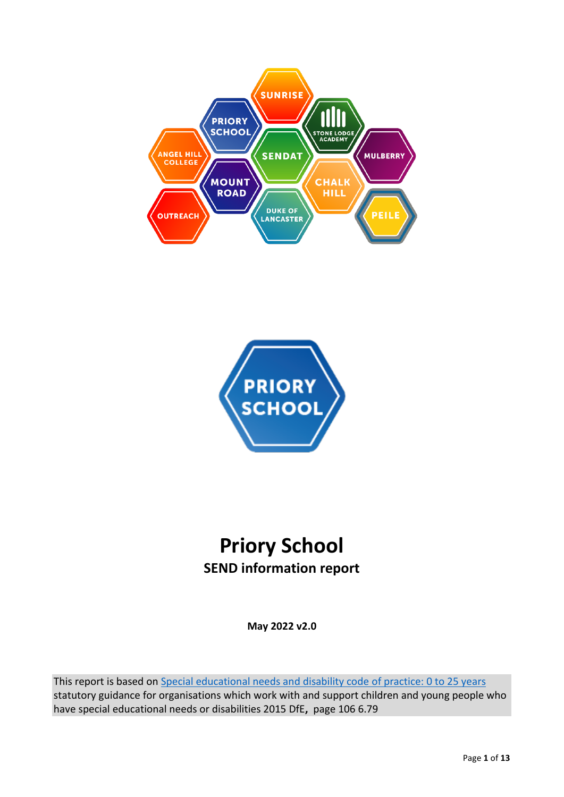



# **Priory School SEND information report**

**May 2022 v2.0**

This report is based on [Special educational needs and disability code of practice: 0 to 25 years](https://www.gov.uk/government/publications/send-code-of-practice-0-to-25) statutory guidance for organisations which work with and support children and young people who have special educational needs or disabilities 2015 DfE**,** page 106 6.79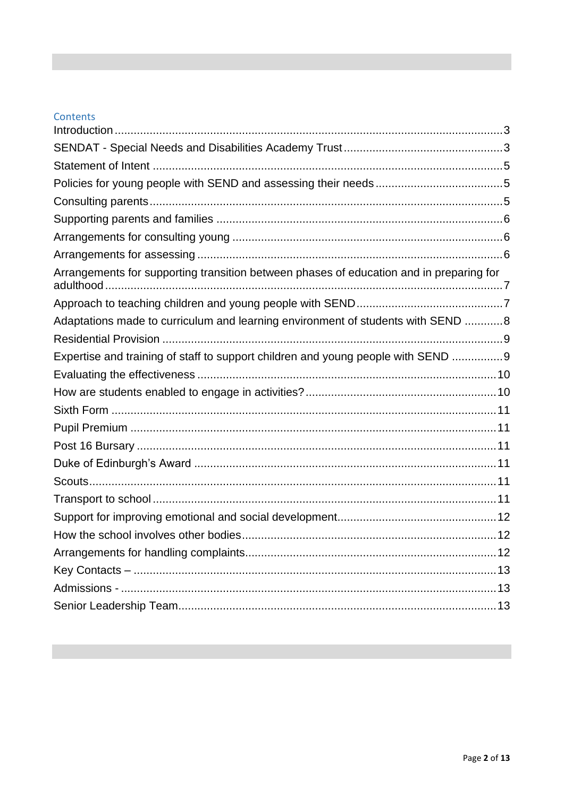## Contents

| Arrangements for supporting transition between phases of education and in preparing for |  |
|-----------------------------------------------------------------------------------------|--|
|                                                                                         |  |
| Adaptations made to curriculum and learning environment of students with SEND 8         |  |
|                                                                                         |  |
| Expertise and training of staff to support children and young people with SEND 9        |  |
|                                                                                         |  |
|                                                                                         |  |
|                                                                                         |  |
|                                                                                         |  |
|                                                                                         |  |
|                                                                                         |  |
|                                                                                         |  |
|                                                                                         |  |
|                                                                                         |  |
|                                                                                         |  |
|                                                                                         |  |
|                                                                                         |  |
|                                                                                         |  |
|                                                                                         |  |
|                                                                                         |  |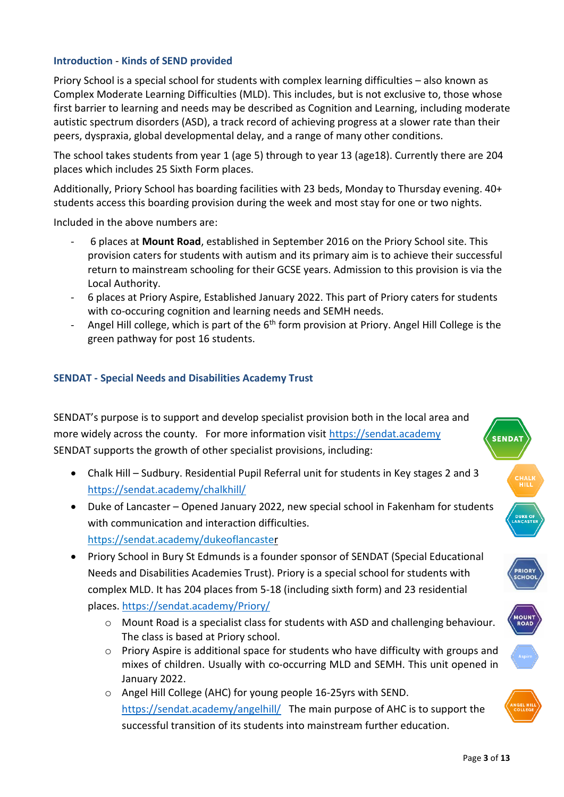## <span id="page-2-0"></span>**Introduction** - **Kinds of SEND provided**

Priory School is a special school for students with complex learning difficulties – also known as Complex Moderate Learning Difficulties (MLD). This includes, but is not exclusive to, those whose first barrier to learning and needs may be described as Cognition and Learning, including moderate autistic spectrum disorders (ASD), a track record of achieving progress at a slower rate than their peers, dyspraxia, global developmental delay, and a range of many other conditions.

The school takes students from year 1 (age 5) through to year 13 (age18). Currently there are 204 places which includes 25 Sixth Form places.

Additionally, Priory School has boarding facilities with 23 beds, Monday to Thursday evening. 40+ students access this boarding provision during the week and most stay for one or two nights.

Included in the above numbers are:

- 6 places at **Mount Road**, established in September 2016 on the Priory School site. This provision caters for students with autism and its primary aim is to achieve their successful return to mainstream schooling for their GCSE years. Admission to this provision is via the Local Authority.
- 6 places at Priory Aspire, Established January 2022. This part of Priory caters for students with co-occuring cognition and learning needs and SEMH needs.
- Angel Hill college, which is part of the 6<sup>th</sup> form provision at Priory. Angel Hill College is the green pathway for post 16 students.

## <span id="page-2-1"></span>**SENDAT - Special Needs and Disabilities Academy Trust**

SENDAT's purpose is to support and develop specialist provision both in the local area and more widely across the county. For more information visit [https://sendat.academy](https://sendat.academy/) SENDAT supports the growth of other specialist provisions, including:

- Chalk Hill Sudbury. Residential Pupil Referral unit for students in Key stages 2 and 3 <https://sendat.academy/chalkhill/>
- Duke of Lancaster Opened January 2022, new special school in Fakenham for students with communication and interaction difficulties. <https://sendat.academy/dukeoflancaster>
- Priory School in Bury St Edmunds is a founder sponsor of SENDAT (Special Educational Needs and Disabilities Academies Trust). Priory is a special school for students with complex MLD. It has 204 places from 5-18 (including sixth form) and 23 residential places.<https://sendat.academy/Priory/>
	- o Mount Road is a specialist class for students with ASD and challenging behaviour. The class is based at Priory school.
	- $\circ$  Priory Aspire is additional space for students who have difficulty with groups and mixes of children. Usually with co-occurring MLD and SEMH. This unit opened in January 2022.
	- o Angel Hill College (AHC) for young people 16-25yrs with SEND. <https://sendat.academy/angelhill/>The main purpose of AHC is to support the successful transition of its students into mainstream further education.



**OUN**<br>ROAD

**ENDA**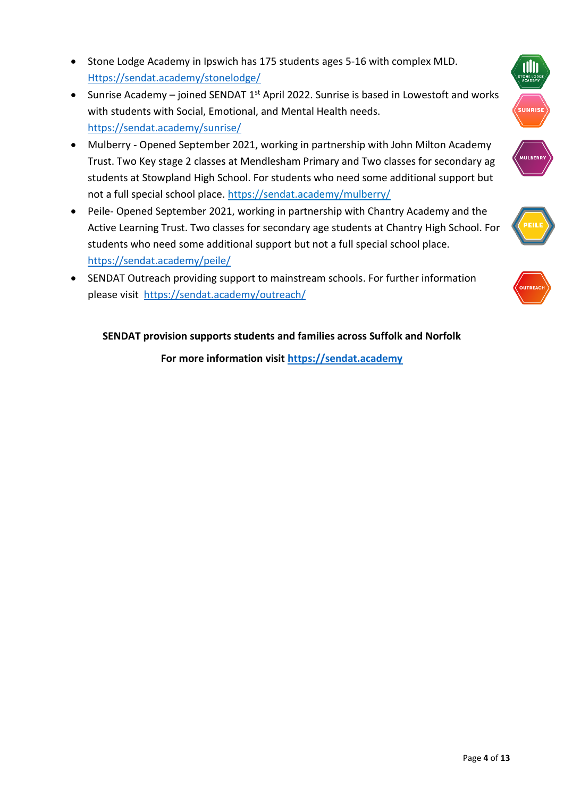- Stone Lodge Academy in Ipswich has 175 students ages 5-16 with complex MLD. [Https://sendat.academy/stonelodge/](https://sendat.academy/stonelodge/)
- Sunrise Academy joined SENDAT 1<sup>st</sup> April 2022. Sunrise is based in Lowestoft and works with students with Social, Emotional, and Mental Health needs. <https://sendat.academy/sunrise/>
- Mulberry Opened September 2021, working in partnership with John Milton Academy Trust. Two Key stage 2 classes at Mendlesham Primary and Two classes for secondary ag students at Stowpland High School. For students who need some additional support but not a full special school place.<https://sendat.academy/mulberry/>
- Peile- Opened September 2021, working in partnership with Chantry Academy and the Active Learning Trust. Two classes for secondary age students at Chantry High School. For students who need some additional support but not a full special school place. <https://sendat.academy/peile/>
- SENDAT Outreach providing support to mainstream schools. For further information please visit <https://sendat.academy/outreach/>

# **SENDAT provision supports students and families across Suffolk and Norfolk**

**For more information visit [https://sendat.academy](https://sendat.academy/)**



IIII



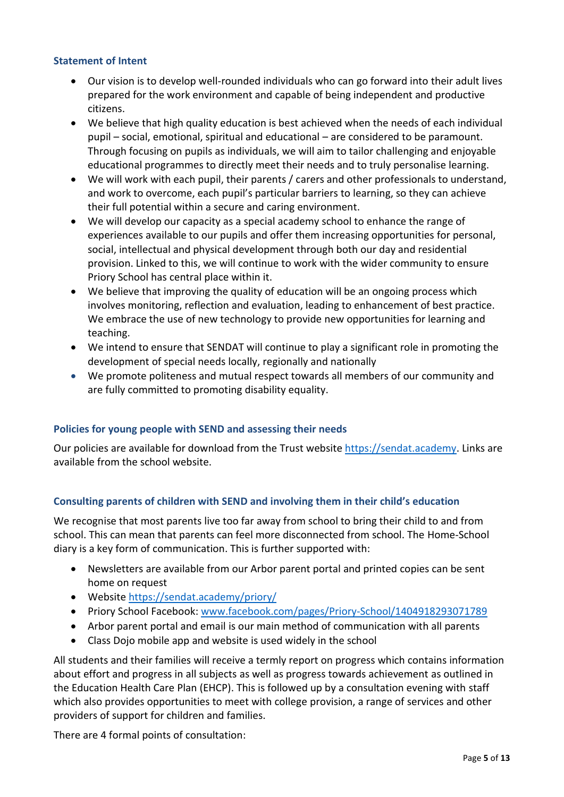## <span id="page-4-0"></span>**Statement of Intent**

- Our vision is to develop well-rounded individuals who can go forward into their adult lives prepared for the work environment and capable of being independent and productive citizens.
- We believe that high quality education is best achieved when the needs of each individual pupil – social, emotional, spiritual and educational – are considered to be paramount. Through focusing on pupils as individuals, we will aim to tailor challenging and enjoyable educational programmes to directly meet their needs and to truly personalise learning.
- We will work with each pupil, their parents / carers and other professionals to understand, and work to overcome, each pupil's particular barriers to learning, so they can achieve their full potential within a secure and caring environment.
- We will develop our capacity as a special academy school to enhance the range of experiences available to our pupils and offer them increasing opportunities for personal, social, intellectual and physical development through both our day and residential provision. Linked to this, we will continue to work with the wider community to ensure Priory School has central place within it.
- We believe that improving the quality of education will be an ongoing process which involves monitoring, reflection and evaluation, leading to enhancement of best practice. We embrace the use of new technology to provide new opportunities for learning and teaching.
- We intend to ensure that SENDAT will continue to play a significant role in promoting the development of special needs locally, regionally and nationally
- We promote politeness and mutual respect towards all members of our community and are fully committed to promoting disability equality.

### <span id="page-4-1"></span>**Policies for young people with SEND and assessing their needs**

Our policies are available for download from the Trust website [https://sendat.academy.](https://sendat.academy/) Links are available from the school website.

## <span id="page-4-2"></span>**Consulting parents of children with SEND and involving them in their child's education**

We recognise that most parents live too far away from school to bring their child to and from school. This can mean that parents can feel more disconnected from school. The Home-School diary is a key form of communication. This is further supported with:

- Newsletters are available from our Arbor parent portal and printed copies can be sent home on request
- Website<https://sendat.academy/priory/>
- Priory School Facebook: [www.facebook.com/pages/Priory-School/1404918293071789](http://www.facebook.com/pages/Priory-School/1404918293071789)
- Arbor parent portal and email is our main method of communication with all parents
- Class Dojo mobile app and website is used widely in the school

All students and their families will receive a termly report on progress which contains information about effort and progress in all subjects as well as progress towards achievement as outlined in the Education Health Care Plan (EHCP). This is followed up by a consultation evening with staff which also provides opportunities to meet with college provision, a range of services and other providers of support for children and families.

There are 4 formal points of consultation: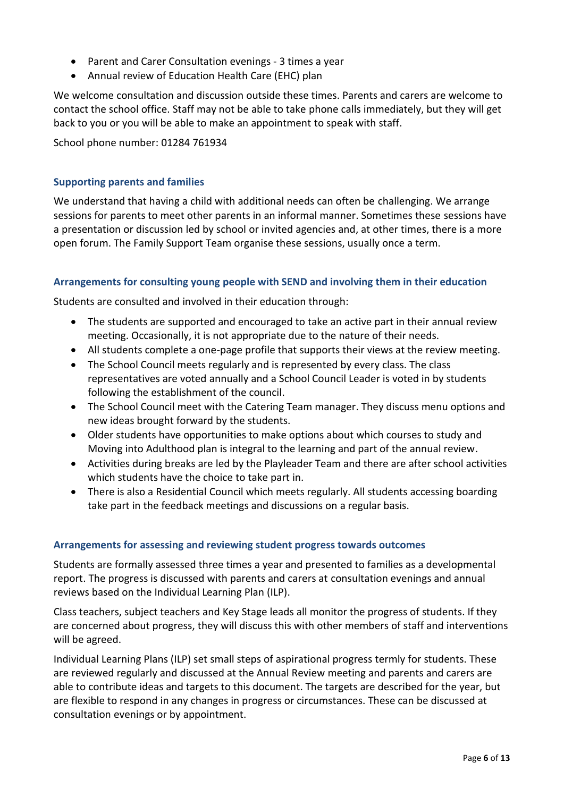- Parent and Carer Consultation evenings 3 times a year
- Annual review of Education Health Care (EHC) plan

We welcome consultation and discussion outside these times. Parents and carers are welcome to contact the school office. Staff may not be able to take phone calls immediately, but they will get back to you or you will be able to make an appointment to speak with staff.

School phone number: 01284 761934

## <span id="page-5-0"></span>**Supporting parents and families**

We understand that having a child with additional needs can often be challenging. We arrange sessions for parents to meet other parents in an informal manner. Sometimes these sessions have a presentation or discussion led by school or invited agencies and, at other times, there is a more open forum. The Family Support Team organise these sessions, usually once a term.

## <span id="page-5-1"></span>**Arrangements for consulting young people with SEND and involving them in their education**

Students are consulted and involved in their education through:

- The students are supported and encouraged to take an active part in their annual review meeting. Occasionally, it is not appropriate due to the nature of their needs.
- All students complete a one-page profile that supports their views at the review meeting.
- The School Council meets regularly and is represented by every class. The class representatives are voted annually and a School Council Leader is voted in by students following the establishment of the council.
- The School Council meet with the Catering Team manager. They discuss menu options and new ideas brought forward by the students.
- Older students have opportunities to make options about which courses to study and Moving into Adulthood plan is integral to the learning and part of the annual review.
- Activities during breaks are led by the Playleader Team and there are after school activities which students have the choice to take part in.
- There is also a Residential Council which meets regularly. All students accessing boarding take part in the feedback meetings and discussions on a regular basis.

### <span id="page-5-2"></span>**Arrangements for assessing and reviewing student progress towards outcomes**

Students are formally assessed three times a year and presented to families as a developmental report. The progress is discussed with parents and carers at consultation evenings and annual reviews based on the Individual Learning Plan (ILP).

Class teachers, subject teachers and Key Stage leads all monitor the progress of students. If they are concerned about progress, they will discuss this with other members of staff and interventions will be agreed.

Individual Learning Plans (ILP) set small steps of aspirational progress termly for students. These are reviewed regularly and discussed at the Annual Review meeting and parents and carers are able to contribute ideas and targets to this document. The targets are described for the year, but are flexible to respond in any changes in progress or circumstances. These can be discussed at consultation evenings or by appointment.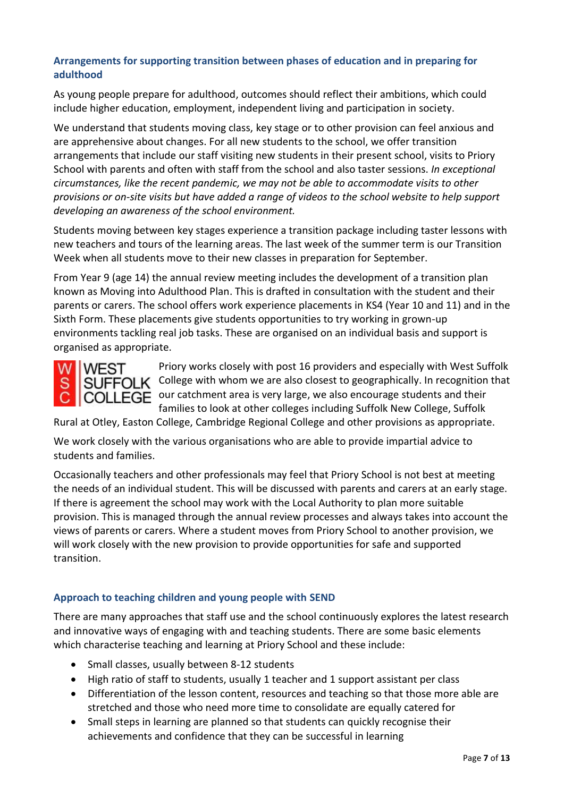## <span id="page-6-0"></span>**Arrangements for supporting transition between phases of education and in preparing for adulthood**

As young people prepare for adulthood, outcomes should reflect their ambitions, which could include higher education, employment, independent living and participation in society.

We understand that students moving class, key stage or to other provision can feel anxious and are apprehensive about changes. For all new students to the school, we offer transition arrangements that include our staff visiting new students in their present school, visits to Priory School with parents and often with staff from the school and also taster sessions. *In exceptional circumstances, like the recent pandemic, we may not be able to accommodate visits to other provisions or on-site visits but have added a range of videos to the school website to help support developing an awareness of the school environment.*

Students moving between key stages experience a transition package including taster lessons with new teachers and tours of the learning areas. The last week of the summer term is our Transition Week when all students move to their new classes in preparation for September.

From Year 9 (age 14) the annual review meeting includes the development of a transition plan known as Moving into Adulthood Plan. This is drafted in consultation with the student and their parents or carers. The school offers work experience placements in KS4 (Year 10 and 11) and in the Sixth Form. These placements give students opportunities to try working in grown-up environments tackling real job tasks. These are organised on an individual basis and support is organised as appropriate.



Priory works closely with post 16 providers and especially with West Suffolk SUFFOLK College with whom we are also closest to geographically. In recognition that COLLEGE our catchment area is very large, we also encourage students and their families to look at other colleges including Suffolk New College, Suffolk

Rural at Otley, Easton College, Cambridge Regional College and other provisions as appropriate.

We work closely with the various organisations who are able to provide impartial advice to students and families.

Occasionally teachers and other professionals may feel that Priory School is not best at meeting the needs of an individual student. This will be discussed with parents and carers at an early stage. If there is agreement the school may work with the Local Authority to plan more suitable provision. This is managed through the annual review processes and always takes into account the views of parents or carers. Where a student moves from Priory School to another provision, we will work closely with the new provision to provide opportunities for safe and supported transition.

## <span id="page-6-1"></span>**Approach to teaching children and young people with SEND**

There are many approaches that staff use and the school continuously explores the latest research and innovative ways of engaging with and teaching students. There are some basic elements which characterise teaching and learning at Priory School and these include:

- Small classes, usually between 8-12 students
- High ratio of staff to students, usually 1 teacher and 1 support assistant per class
- Differentiation of the lesson content, resources and teaching so that those more able are stretched and those who need more time to consolidate are equally catered for
- Small steps in learning are planned so that students can quickly recognise their achievements and confidence that they can be successful in learning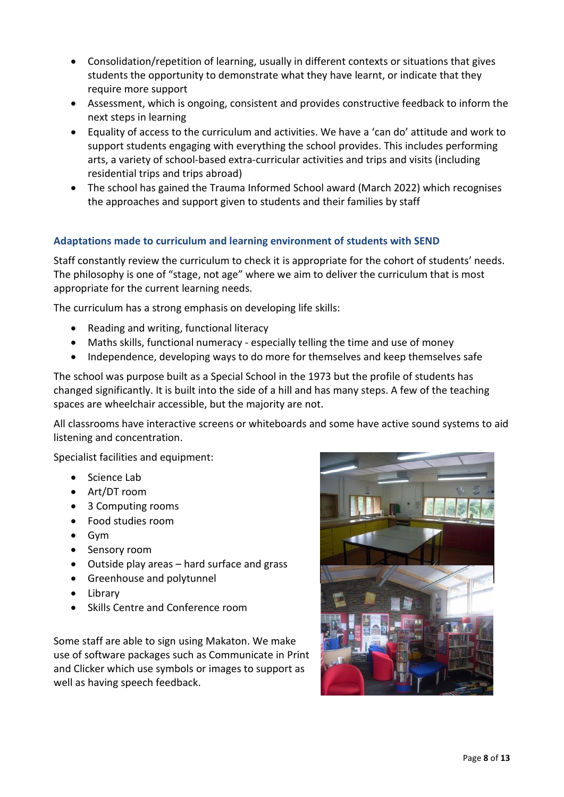- Consolidation/repetition of learning, usually in different contexts or situations that gives students the opportunity to demonstrate what they have learnt, or indicate that they require more support
- Assessment, which is ongoing, consistent and provides constructive feedback to inform the next steps in learning
- Equality of access to the curriculum and activities. We have a 'can do' attitude and work to support students engaging with everything the school provides. This includes performing arts, a variety of school-based extra-curricular activities and trips and visits (including residential trips and trips abroad)
- The school has gained the Trauma Informed School award (March 2022) which recognises the approaches and support given to students and their families by staff

## <span id="page-7-0"></span>**Adaptations made to curriculum and learning environment of students with SEND**

Staff constantly review the curriculum to check it is appropriate for the cohort of students' needs. The philosophy is one of "stage, not age" where we aim to deliver the curriculum that is most appropriate for the current learning needs.

The curriculum has a strong emphasis on developing life skills:

- Reading and writing, functional literacy
- Maths skills, functional numeracy especially telling the time and use of money
- Independence, developing ways to do more for themselves and keep themselves safe

The school was purpose built as a Special School in the 1973 but the profile of students has changed significantly. It is built into the side of a hill and has many steps. A few of the teaching spaces are wheelchair accessible, but the majority are not.

All classrooms have interactive screens or whiteboards and some have active sound systems to aid listening and concentration.

Specialist facilities and equipment:

- Science Lab
- Art/DT room
- 3 Computing rooms
- Food studies room
- Gym
- Sensory room
- Outside play areas hard surface and grass
- Greenhouse and polytunnel
- Library
- Skills Centre and Conference room

Some staff are able to sign using Makaton. We make use of software packages such as Communicate in Print and Clicker which use symbols or images to support as well as having speech feedback.

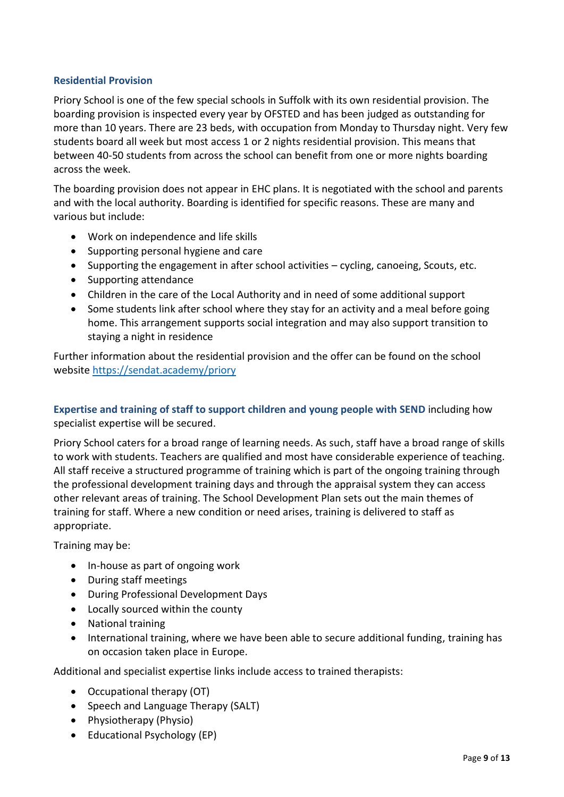## <span id="page-8-0"></span>**Residential Provision**

Priory School is one of the few special schools in Suffolk with its own residential provision. The boarding provision is inspected every year by OFSTED and has been judged as outstanding for more than 10 years. There are 23 beds, with occupation from Monday to Thursday night. Very few students board all week but most access 1 or 2 nights residential provision. This means that between 40-50 students from across the school can benefit from one or more nights boarding across the week.

The boarding provision does not appear in EHC plans. It is negotiated with the school and parents and with the local authority. Boarding is identified for specific reasons. These are many and various but include:

- Work on independence and life skills
- Supporting personal hygiene and care
- Supporting the engagement in after school activities cycling, canoeing, Scouts, etc.
- Supporting attendance
- Children in the care of the Local Authority and in need of some additional support
- Some students link after school where they stay for an activity and a meal before going home. This arrangement supports social integration and may also support transition to staying a night in residence

Further information about the residential provision and the offer can be found on the school website <https://sendat.academy/priory>

<span id="page-8-1"></span>**Expertise and training of staff to support children and young people with SEND** including how specialist expertise will be secured.

Priory School caters for a broad range of learning needs. As such, staff have a broad range of skills to work with students. Teachers are qualified and most have considerable experience of teaching. All staff receive a structured programme of training which is part of the ongoing training through the professional development training days and through the appraisal system they can access other relevant areas of training. The School Development Plan sets out the main themes of training for staff. Where a new condition or need arises, training is delivered to staff as appropriate.

Training may be:

- In-house as part of ongoing work
- During staff meetings
- During Professional Development Days
- Locally sourced within the county
- National training
- International training, where we have been able to secure additional funding, training has on occasion taken place in Europe.

Additional and specialist expertise links include access to trained therapists:

- Occupational therapy (OT)
- Speech and Language Therapy (SALT)
- Physiotherapy (Physio)
- Educational Psychology (EP)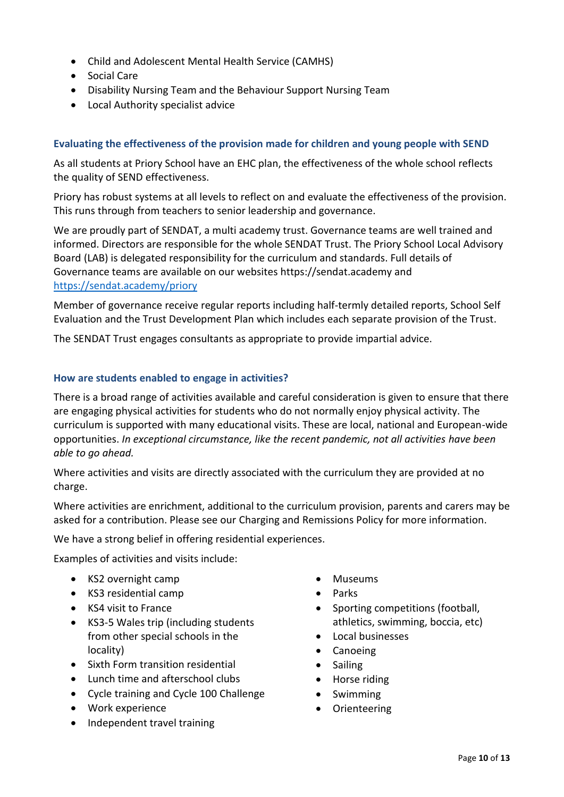- Child and Adolescent Mental Health Service (CAMHS)
- Social Care
- Disability Nursing Team and the Behaviour Support Nursing Team
- Local Authority specialist advice

## <span id="page-9-0"></span>**Evaluating the effectiveness of the provision made for children and young people with SEND**

As all students at Priory School have an EHC plan, the effectiveness of the whole school reflects the quality of SEND effectiveness.

Priory has robust systems at all levels to reflect on and evaluate the effectiveness of the provision. This runs through from teachers to senior leadership and governance.

We are proudly part of SENDAT, a multi academy trust. Governance teams are well trained and informed. Directors are responsible for the whole SENDAT Trust. The Priory School Local Advisory Board (LAB) is delegated responsibility for the curriculum and standards. Full details of Governance teams are available on our websites https://sendat.academy and <https://sendat.academy/priory>

Member of governance receive regular reports including half-termly detailed reports, School Self Evaluation and the Trust Development Plan which includes each separate provision of the Trust.

The SENDAT Trust engages consultants as appropriate to provide impartial advice.

### <span id="page-9-1"></span>**How are students enabled to engage in activities?**

There is a broad range of activities available and careful consideration is given to ensure that there are engaging physical activities for students who do not normally enjoy physical activity. The curriculum is supported with many educational visits. These are local, national and European-wide opportunities. *In exceptional circumstance, like the recent pandemic, not all activities have been able to go ahead.*

Where activities and visits are directly associated with the curriculum they are provided at no charge.

Where activities are enrichment, additional to the curriculum provision, parents and carers may be asked for a contribution. Please see our Charging and Remissions Policy for more information.

We have a strong belief in offering residential experiences.

Examples of activities and visits include:

- KS2 overnight camp
- KS3 residential camp
- KS4 visit to France
- KS3-5 Wales trip (including students from other special schools in the locality)
- Sixth Form transition residential
- Lunch time and afterschool clubs
- Cycle training and Cycle 100 Challenge
- Work experience
- Independent travel training
- Museums
- Parks
- Sporting competitions (football, athletics, swimming, boccia, etc)
- Local businesses
- Canoeing
- Sailing
- Horse riding
- Swimming
- Orienteering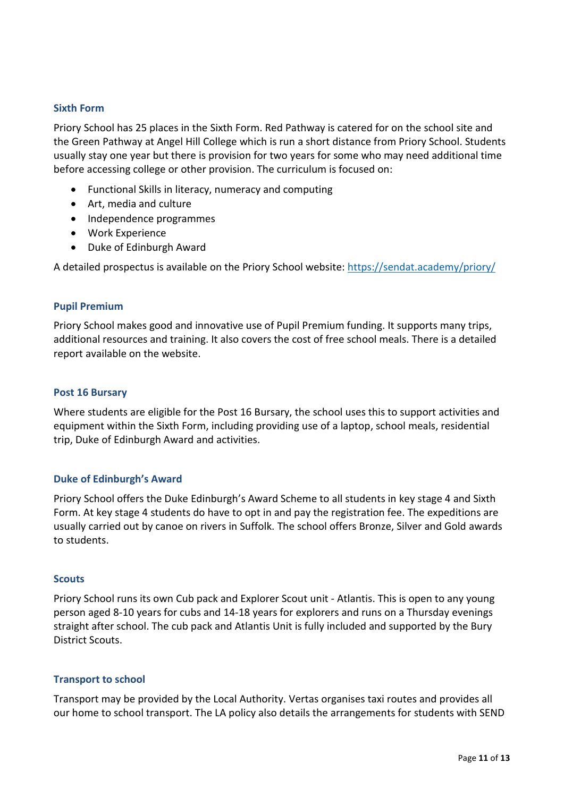### <span id="page-10-0"></span>**Sixth Form**

Priory School has 25 places in the Sixth Form. Red Pathway is catered for on the school site and the Green Pathway at Angel Hill College which is run a short distance from Priory School. Students usually stay one year but there is provision for two years for some who may need additional time before accessing college or other provision. The curriculum is focused on:

- Functional Skills in literacy, numeracy and computing
- Art, media and culture
- Independence programmes
- Work Experience
- Duke of Edinburgh Award

A detailed prospectus is available on the Priory School website: [https://sendat.academy/priory/](http://www.priory.sendat.academy/)

### <span id="page-10-1"></span>**Pupil Premium**

Priory School makes good and innovative use of Pupil Premium funding. It supports many trips, additional resources and training. It also covers the cost of free school meals. There is a detailed report available on the website.

#### <span id="page-10-2"></span>**Post 16 Bursary**

Where students are eligible for the Post 16 Bursary, the school uses this to support activities and equipment within the Sixth Form, including providing use of a laptop, school meals, residential trip, Duke of Edinburgh Award and activities.

#### <span id="page-10-3"></span>**Duke of Edinburgh's Award**

Priory School offers the Duke Edinburgh's Award Scheme to all students in key stage 4 and Sixth Form. At key stage 4 students do have to opt in and pay the registration fee. The expeditions are usually carried out by canoe on rivers in Suffolk. The school offers Bronze, Silver and Gold awards to students.

#### <span id="page-10-4"></span>**Scouts**

Priory School runs its own Cub pack and Explorer Scout unit - Atlantis. This is open to any young person aged 8-10 years for cubs and 14-18 years for explorers and runs on a Thursday evenings straight after school. The cub pack and Atlantis Unit is fully included and supported by the Bury District Scouts.

#### <span id="page-10-5"></span>**Transport to school**

Transport may be provided by the Local Authority. Vertas organises taxi routes and provides all our home to school transport. The LA policy also details the arrangements for students with SEND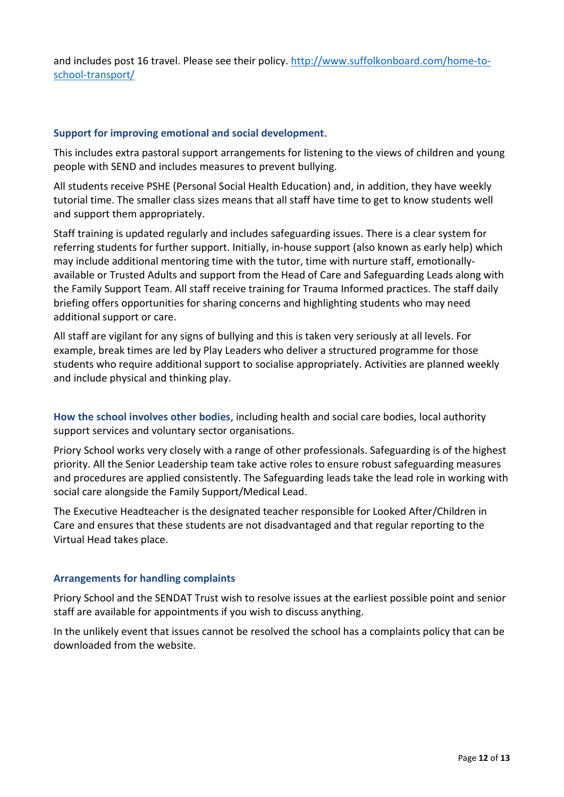and includes post 16 travel. Please see their policy. [http://www.suffolkonboard.com/home-to](http://www.suffolkonboard.com/home-to-school-transport/)[school-transport/](http://www.suffolkonboard.com/home-to-school-transport/) 

#### <span id="page-11-0"></span>**Support for improving emotional and social development**.

This includes extra pastoral support arrangements for listening to the views of children and young people with SEND and includes measures to prevent bullying.

All students receive PSHE (Personal Social Health Education) and, in addition, they have weekly tutorial time. The smaller class sizes means that all staff have time to get to know students well and support them appropriately.

Staff training is updated regularly and includes safeguarding issues. There is a clear system for referring students for further support. Initially, in-house support (also known as early help) which may include additional mentoring time with the tutor, time with nurture staff, emotionallyavailable or Trusted Adults and support from the Head of Care and Safeguarding Leads along with the Family Support Team. All staff receive training for Trauma Informed practices. The staff daily briefing offers opportunities for sharing concerns and highlighting students who may need additional support or care.

All staff are vigilant for any signs of bullying and this is taken very seriously at all levels. For example, break times are led by Play Leaders who deliver a structured programme for those students who require additional support to socialise appropriately. Activities are planned weekly and include physical and thinking play.

<span id="page-11-1"></span>**How the school involves other bodies**, including health and social care bodies, local authority support services and voluntary sector organisations.

Priory School works very closely with a range of other professionals. Safeguarding is of the highest priority. All the Senior Leadership team take active roles to ensure robust safeguarding measures and procedures are applied consistently. The Safeguarding leads take the lead role in working with social care alongside the Family Support/Medical Lead.

The Executive Headteacher is the designated teacher responsible for Looked After/Children in Care and ensures that these students are not disadvantaged and that regular reporting to the Virtual Head takes place.

### <span id="page-11-2"></span>**Arrangements for handling complaints**

Priory School and the SENDAT Trust wish to resolve issues at the earliest possible point and senior staff are available for appointments if you wish to discuss anything.

In the unlikely event that issues cannot be resolved the school has a complaints policy that can be downloaded from the website.